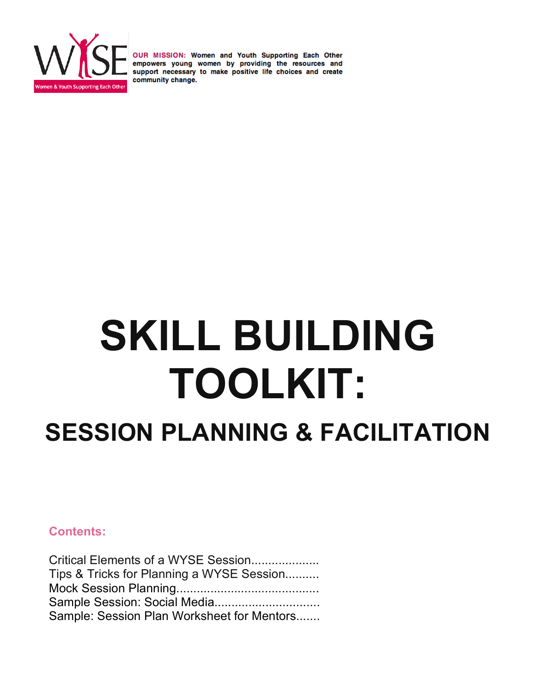

# **SKILL BUILDING TOOLKIT:**

## **SESSION PLANNING & FACILITATION**

#### **Contents:**

| Critical Elements of a WYSE Session        |  |
|--------------------------------------------|--|
| Tips & Tricks for Planning a WYSE Session  |  |
|                                            |  |
|                                            |  |
| Sample: Session Plan Worksheet for Mentors |  |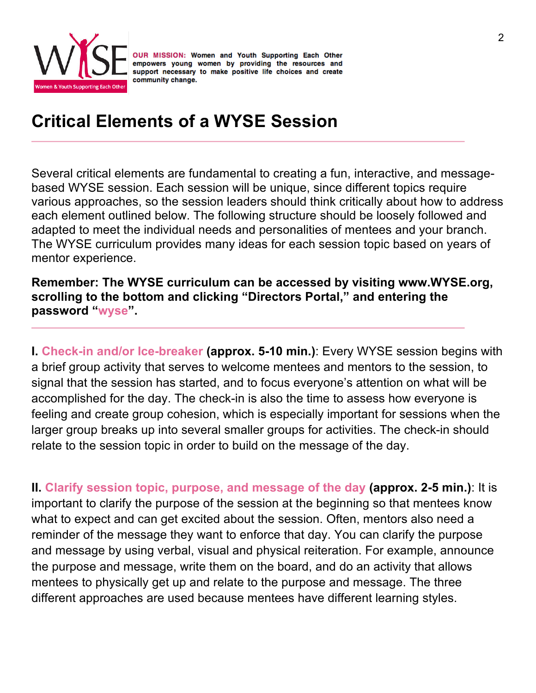

## **Critical Elements of a WYSE Session**

Several critical elements are fundamental to creating a fun, interactive, and messagebased WYSE session. Each session will be unique, since different topics require various approaches, so the session leaders should think critically about how to address each element outlined below. The following structure should be loosely followed and adapted to meet the individual needs and personalities of mentees and your branch. The WYSE curriculum provides many ideas for each session topic based on years of mentor experience.

**Remember: The WYSE curriculum can be accessed by visiting www.WYSE.org, scrolling to the bottom and clicking "Directors Portal," and entering the password "wyse".**

**I. Check-in and/or Ice-breaker (approx. 5-10 min.)**: Every WYSE session begins with a brief group activity that serves to welcome mentees and mentors to the session, to signal that the session has started, and to focus everyone's attention on what will be accomplished for the day. The check-in is also the time to assess how everyone is feeling and create group cohesion, which is especially important for sessions when the larger group breaks up into several smaller groups for activities. The check-in should relate to the session topic in order to build on the message of the day.

**II. Clarify session topic, purpose, and message of the day (approx. 2-5 min.)**: It is important to clarify the purpose of the session at the beginning so that mentees know what to expect and can get excited about the session. Often, mentors also need a reminder of the message they want to enforce that day. You can clarify the purpose and message by using verbal, visual and physical reiteration. For example, announce the purpose and message, write them on the board, and do an activity that allows mentees to physically get up and relate to the purpose and message. The three different approaches are used because mentees have different learning styles.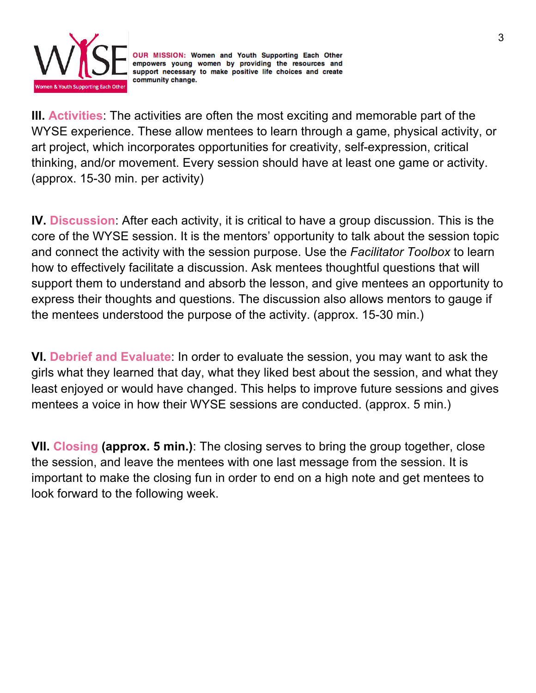

**III. Activities**: The activities are often the most exciting and memorable part of the WYSE experience. These allow mentees to learn through a game, physical activity, or art project, which incorporates opportunities for creativity, self-expression, critical thinking, and/or movement. Every session should have at least one game or activity. (approx. 15-30 min. per activity)

**IV. Discussion**: After each activity, it is critical to have a group discussion. This is the core of the WYSE session. It is the mentors' opportunity to talk about the session topic and connect the activity with the session purpose. Use the *Facilitator Toolbox* to learn how to effectively facilitate a discussion. Ask mentees thoughtful questions that will support them to understand and absorb the lesson, and give mentees an opportunity to express their thoughts and questions. The discussion also allows mentors to gauge if the mentees understood the purpose of the activity. (approx. 15-30 min.)

**VI. Debrief and Evaluate**: In order to evaluate the session, you may want to ask the girls what they learned that day, what they liked best about the session, and what they least enjoyed or would have changed. This helps to improve future sessions and gives mentees a voice in how their WYSE sessions are conducted. (approx. 5 min.)

**VII. Closing (approx. 5 min.)**: The closing serves to bring the group together, close the session, and leave the mentees with one last message from the session. It is important to make the closing fun in order to end on a high note and get mentees to look forward to the following week.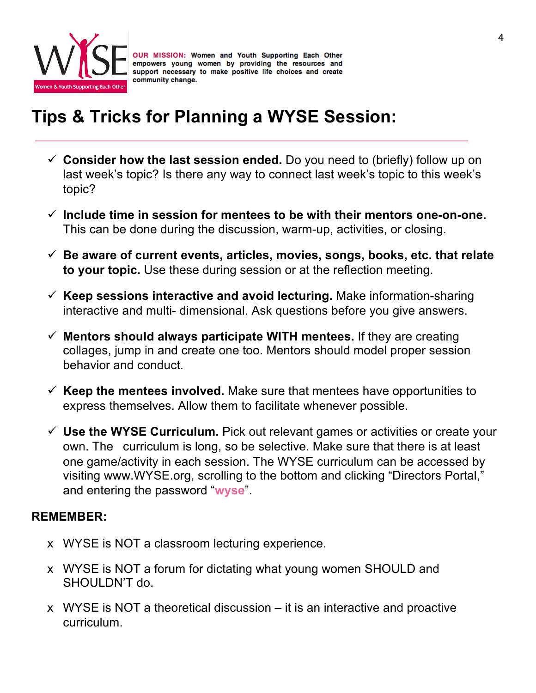

## **Tips & Tricks for Planning a WYSE Session:**

- $\checkmark$  Consider how the last session ended. Do you need to (briefly) follow up on last week's topic? Is there any way to connect last week's topic to this week's topic?
- $\checkmark$  Include time in session for mentees to be with their mentors one-on-one. This can be done during the discussion, warm-up, activities, or closing.
- ü **Be aware of current events, articles, movies, songs, books, etc. that relate to your topic.** Use these during session or at the reflection meeting.
- ü **Keep sessions interactive and avoid lecturing.** Make information-sharing interactive and multi- dimensional. Ask questions before you give answers.
- $\checkmark$  Mentors should always participate WITH mentees. If they are creating collages, jump in and create one too. Mentors should model proper session behavior and conduct.
- $\checkmark$  Keep the mentees involved. Make sure that mentees have opportunities to express themselves. Allow them to facilitate whenever possible.
- $\checkmark$  Use the WYSE Curriculum. Pick out relevant games or activities or create your own. The curriculum is long, so be selective. Make sure that there is at least one game/activity in each session. The WYSE curriculum can be accessed by visiting www.WYSE.org, scrolling to the bottom and clicking "Directors Portal," and entering the password "**wyse**".

#### **REMEMBER:**

- x WYSE is NOT a classroom lecturing experience.
- x WYSE is NOT a forum for dictating what young women SHOULD and SHOULDN'T do.
- x WYSE is NOT a theoretical discussion it is an interactive and proactive curriculum.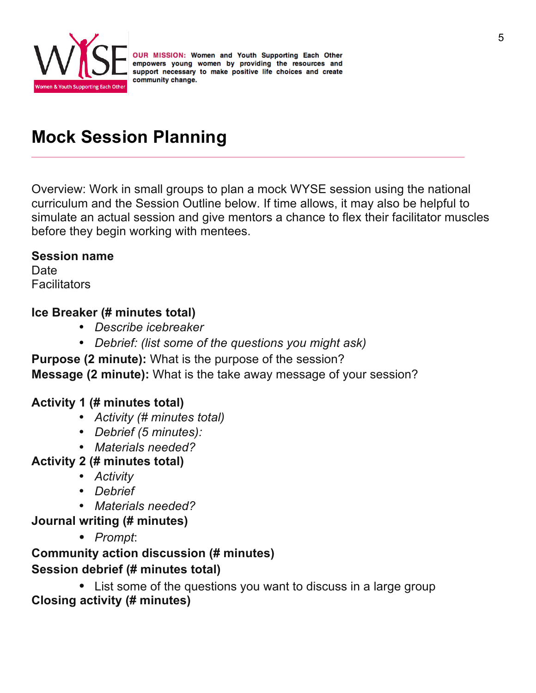

## **Mock Session Planning**

Overview: Work in small groups to plan a mock WYSE session using the national curriculum and the Session Outline below. If time allows, it may also be helpful to simulate an actual session and give mentors a chance to flex their facilitator muscles before they begin working with mentees.

#### **Session name**

**Date Facilitators** 

#### **Ice Breaker (# minutes total)**

- *Describe icebreaker*
- *Debrief: (list some of the questions you might ask)*

**Purpose (2 minute):** What is the purpose of the session? **Message (2 minute):** What is the take away message of your session?

#### **Activity 1 (# minutes total)**

- *Activity (# minutes total)*
- *Debrief (5 minutes):*
- *Materials needed?*
- **Activity 2 (# minutes total)** 
	- *Activity*
	- *Debrief*
	- *Materials needed?*
- **Journal writing (# minutes)**
	- *Prompt*:

#### **Community action discussion (# minutes) Session debrief (# minutes total)**

• List some of the questions you want to discuss in a large group **Closing activity (# minutes)**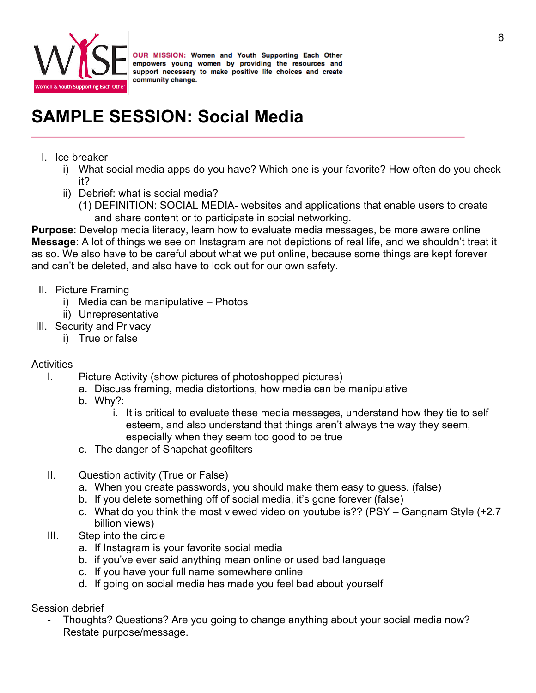

## **SAMPLE SESSION: Social Media**

- I. Ice breaker
	- i) What social media apps do you have? Which one is your favorite? How often do you check it?
	- ii) Debrief: what is social media?
		- (1) DEFINITION: SOCIAL MEDIA- websites and applications that enable users to create and share content or to participate in social networking.

**Purpose**: Develop media literacy, learn how to evaluate media messages, be more aware online **Message**: A lot of things we see on Instagram are not depictions of real life, and we shouldn't treat it as so. We also have to be careful about what we put online, because some things are kept forever and can't be deleted, and also have to look out for our own safety.

- II. Picture Framing
	- i) Media can be manipulative Photos
	- ii) Unrepresentative
- III. Security and Privacy
	- i) True or false

#### **Activities**

- I. Picture Activity (show pictures of photoshopped pictures)
	- a. Discuss framing, media distortions, how media can be manipulative
		- b. Why?:
			- i. It is critical to evaluate these media messages, understand how they tie to self esteem, and also understand that things aren't always the way they seem, especially when they seem too good to be true
		- c. The danger of Snapchat geofilters
- II. Question activity (True or False)
	- a. When you create passwords, you should make them easy to guess. (false)
	- b. If you delete something off of social media, it's gone forever (false)
	- c. What do you think the most viewed video on youtube is?? (PSY Gangnam Style (+2.7 billion views)
- III. Step into the circle
	- a. If Instagram is your favorite social media
	- b. if you've ever said anything mean online or used bad language
	- c. If you have your full name somewhere online
	- d. If going on social media has made you feel bad about yourself

Session debrief

- Thoughts? Questions? Are you going to change anything about your social media now? Restate purpose/message.